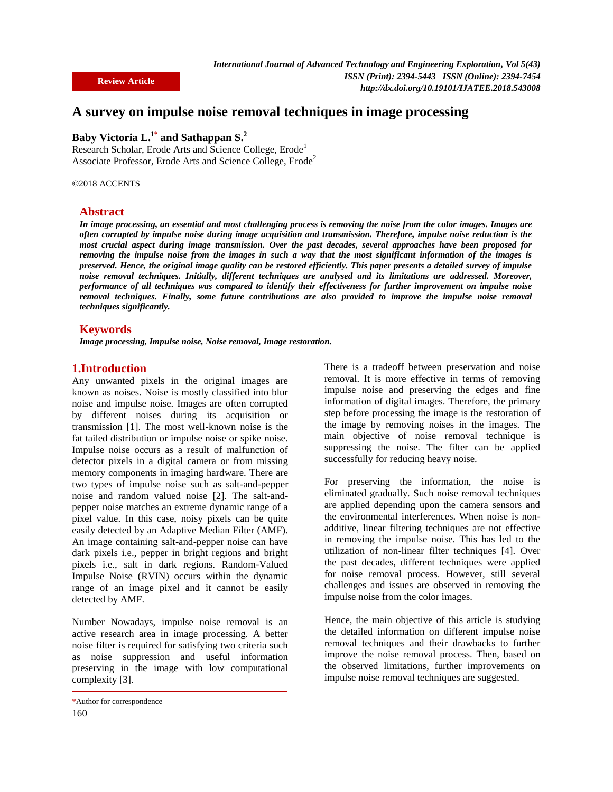# **A survey on impulse noise removal techniques in image processing**

## **Baby Victoria L.1\* and Sathappan S.<sup>2</sup>**

Research Scholar, Erode Arts and Science College, Erode<sup>1</sup> Associate Professor, Erode Arts and Science College, Erode<sup>2</sup>

©2018 ACCENTS

#### **Abstract**

*In image processing, an essential and most challenging process is removing the noise from the color images. Images are often corrupted by impulse noise during image acquisition and transmission. Therefore, impulse noise reduction is the most crucial aspect during image transmission. Over the past decades, several approaches have been proposed for removing the impulse noise from the images in such a way that the most significant information of the images is preserved. Hence, the original image quality can be restored efficiently. This paper presents a detailed survey of impulse noise removal techniques. Initially, different techniques are analysed and its limitations are addressed. Moreover, performance of all techniques was compared to identify their effectiveness for further improvement on impulse noise removal techniques. Finally, some future contributions are also provided to improve the impulse noise removal techniques significantly.* 

#### **Keywords**

*Image processing, Impulse noise, Noise removal, Image restoration.* 

### **1.Introduction**

Any unwanted pixels in the original images are known as noises. Noise is mostly classified into blur noise and impulse noise. Images are often corrupted by different noises during its acquisition or transmission [1]. The most well-known noise is the fat tailed distribution or impulse noise or spike noise. Impulse noise occurs as a result of malfunction of detector pixels in a digital camera or from missing memory components in imaging hardware. There are two types of impulse noise such as salt-and-pepper noise and random valued noise [2]. The salt-andpepper noise matches an extreme dynamic range of a pixel value. In this case, noisy pixels can be quite easily detected by an Adaptive Median Filter (AMF). An image containing salt-and-pepper noise can have dark pixels i.e., pepper in bright regions and bright pixels i.e., salt in dark regions. Random-Valued Impulse Noise (RVIN) occurs within the dynamic range of an image pixel and it cannot be easily detected by AMF.

Number Nowadays, impulse noise removal is an active research area in image processing. A better noise filter is required for satisfying two criteria such as noise suppression and useful information preserving in the image with low computational complexity [3].

There is a tradeoff between preservation and noise removal. It is more effective in terms of removing impulse noise and preserving the edges and fine information of digital images. Therefore, the primary step before processing the image is the restoration of the image by removing noises in the images. The main objective of noise removal technique is suppressing the noise. The filter can be applied successfully for reducing heavy noise.

For preserving the information, the noise is eliminated gradually. Such noise removal techniques are applied depending upon the camera sensors and the environmental interferences. When noise is nonadditive, linear filtering techniques are not effective in removing the impulse noise. This has led to the utilization of non-linear filter techniques [4]. Over the past decades, different techniques were applied for noise removal process. However, still several challenges and issues are observed in removing the impulse noise from the color images.

Hence, the main objective of this article is studying the detailed information on different impulse noise removal techniques and their drawbacks to further improve the noise removal process. Then, based on the observed limitations, further improvements on impulse noise removal techniques are suggested.

<sup>160</sup> \*Author for correspondence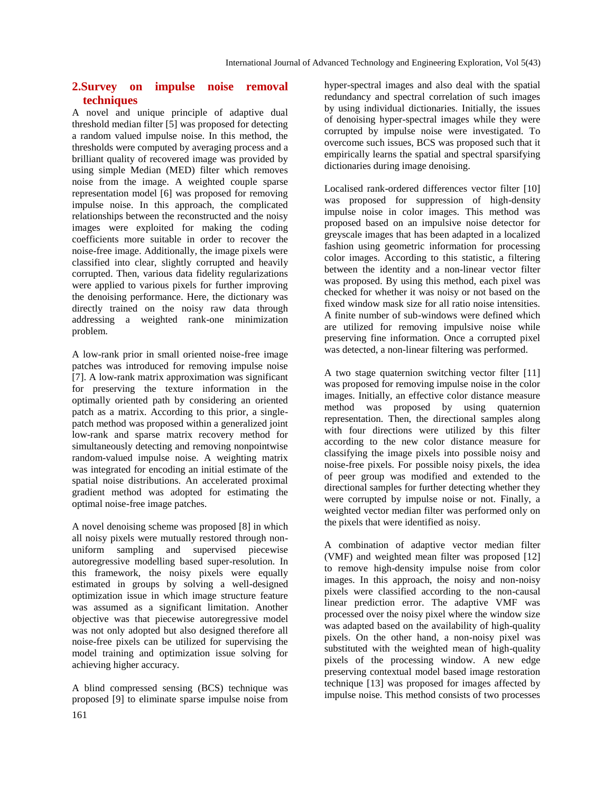## **2.Survey on impulse noise removal techniques**

A novel and unique principle of adaptive dual threshold median filter [5] was proposed for detecting a random valued impulse noise. In this method, the thresholds were computed by averaging process and a brilliant quality of recovered image was provided by using simple Median (MED) filter which removes noise from the image. A weighted couple sparse representation model [6] was proposed for removing impulse noise. In this approach, the complicated relationships between the reconstructed and the noisy images were exploited for making the coding coefficients more suitable in order to recover the noise-free image. Additionally, the image pixels were classified into clear, slightly corrupted and heavily corrupted. Then, various data fidelity regularizations were applied to various pixels for further improving the denoising performance. Here, the dictionary was directly trained on the noisy raw data through addressing a weighted rank-one minimization problem.

A low-rank prior in small oriented noise-free image patches was introduced for removing impulse noise [7]. A low-rank matrix approximation was significant for preserving the texture information in the optimally oriented path by considering an oriented patch as a matrix. According to this prior, a singlepatch method was proposed within a generalized joint low-rank and sparse matrix recovery method for simultaneously detecting and removing nonpointwise random-valued impulse noise. A weighting matrix was integrated for encoding an initial estimate of the spatial noise distributions. An accelerated proximal gradient method was adopted for estimating the optimal noise-free image patches.

A novel denoising scheme was proposed [8] in which all noisy pixels were mutually restored through nonuniform sampling and supervised piecewise autoregressive modelling based super-resolution. In this framework, the noisy pixels were equally estimated in groups by solving a well-designed optimization issue in which image structure feature was assumed as a significant limitation. Another objective was that piecewise autoregressive model was not only adopted but also designed therefore all noise-free pixels can be utilized for supervising the model training and optimization issue solving for achieving higher accuracy.

A blind compressed sensing (BCS) technique was proposed [9] to eliminate sparse impulse noise from hyper-spectral images and also deal with the spatial redundancy and spectral correlation of such images by using individual dictionaries. Initially, the issues of denoising hyper-spectral images while they were corrupted by impulse noise were investigated. To overcome such issues, BCS was proposed such that it empirically learns the spatial and spectral sparsifying dictionaries during image denoising.

Localised rank-ordered differences vector filter [10] was proposed for suppression of high-density impulse noise in color images. This method was proposed based on an impulsive noise detector for greyscale images that has been adapted in a localized fashion using geometric information for processing color images. According to this statistic, a filtering between the identity and a non-linear vector filter was proposed. By using this method, each pixel was checked for whether it was noisy or not based on the fixed window mask size for all ratio noise intensities. A finite number of sub-windows were defined which are utilized for removing impulsive noise while preserving fine information. Once a corrupted pixel was detected, a non-linear filtering was performed.

A two stage quaternion switching vector filter [11] was proposed for removing impulse noise in the color images. Initially, an effective color distance measure method was proposed by using quaternion representation. Then, the directional samples along with four directions were utilized by this filter according to the new color distance measure for classifying the image pixels into possible noisy and noise-free pixels. For possible noisy pixels, the idea of peer group was modified and extended to the directional samples for further detecting whether they were corrupted by impulse noise or not. Finally, a weighted vector median filter was performed only on the pixels that were identified as noisy.

A combination of adaptive vector median filter (VMF) and weighted mean filter was proposed [12] to remove high-density impulse noise from color images. In this approach, the noisy and non-noisy pixels were classified according to the non-causal linear prediction error. The adaptive VMF was processed over the noisy pixel where the window size was adapted based on the availability of high-quality pixels. On the other hand, a non-noisy pixel was substituted with the weighted mean of high-quality pixels of the processing window. A new edge preserving contextual model based image restoration technique [13] was proposed for images affected by impulse noise. This method consists of two processes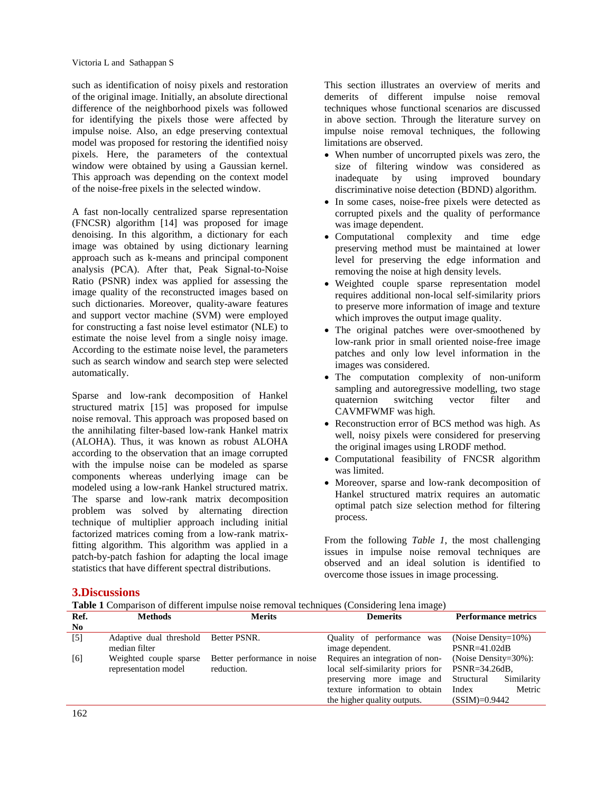such as identification of noisy pixels and restoration of the original image. Initially, an absolute directional difference of the neighborhood pixels was followed for identifying the pixels those were affected by impulse noise. Also, an edge preserving contextual model was proposed for restoring the identified noisy pixels. Here, the parameters of the contextual window were obtained by using a Gaussian kernel. This approach was depending on the context model of the noise-free pixels in the selected window.

A fast non-locally centralized sparse representation (FNCSR) algorithm [14] was proposed for image denoising. In this algorithm, a dictionary for each image was obtained by using dictionary learning approach such as k-means and principal component analysis (PCA). After that, Peak Signal-to-Noise Ratio (PSNR) index was applied for assessing the image quality of the reconstructed images based on such dictionaries. Moreover, quality-aware features and support vector machine (SVM) were employed for constructing a fast noise level estimator (NLE) to estimate the noise level from a single noisy image. According to the estimate noise level, the parameters such as search window and search step were selected automatically.

Sparse and low-rank decomposition of Hankel structured matrix [15] was proposed for impulse noise removal. This approach was proposed based on the annihilating filter-based low-rank Hankel matrix (ALOHA). Thus, it was known as robust ALOHA according to the observation that an image corrupted with the impulse noise can be modeled as sparse components whereas underlying image can be modeled using a low-rank Hankel structured matrix. The sparse and low-rank matrix decomposition problem was solved by alternating direction technique of multiplier approach including initial factorized matrices coming from a low-rank matrixfitting algorithm. This algorithm was applied in a patch-by-patch fashion for adapting the local image statistics that have different spectral distributions.

This section illustrates an overview of merits and demerits of different impulse noise removal techniques whose functional scenarios are discussed in above section. Through the literature survey on impulse noise removal techniques, the following limitations are observed.

- When number of uncorrupted pixels was zero, the size of filtering window was considered as inadequate by using improved boundary discriminative noise detection (BDND) algorithm.
- In some cases, noise-free pixels were detected as corrupted pixels and the quality of performance was image dependent.
- Computational complexity and time edge preserving method must be maintained at lower level for preserving the edge information and removing the noise at high density levels.
- Weighted couple sparse representation model requires additional non-local self-similarity priors to preserve more information of image and texture which improves the output image quality.
- The original patches were over-smoothened by low-rank prior in small oriented noise-free image patches and only low level information in the images was considered.
- The computation complexity of non-uniform sampling and autoregressive modelling, two stage quaternion switching vector filter and CAVMFWMF was high.
- Reconstruction error of BCS method was high. As well, noisy pixels were considered for preserving the original images using LRODF method.
- Computational feasibility of FNCSR algorithm was limited.
- Moreover, sparse and low-rank decomposition of Hankel structured matrix requires an automatic optimal patch size selection method for filtering process.

From the following *Table 1*, the most challenging issues in impulse noise removal techniques are observed and an ideal solution is identified to overcome those issues in image processing.

## **3.Discussions**

**Table 1** Comparison of different impulse noise removal techniques (Considering lena image)

| Ref.           | <b>Methods</b>          | <b>Merits</b>               | <b>Demerits</b>                                | <b>Performance metrics</b> |
|----------------|-------------------------|-----------------------------|------------------------------------------------|----------------------------|
| N <sub>0</sub> |                         |                             |                                                |                            |
| $[5]$          | Adaptive dual threshold | Better PSNR.                | Quality of performance was                     | (Noise Density= $10\%$ )   |
|                | median filter           |                             | image dependent.                               | $PSNR = 41.02dB$           |
| [6]            | Weighted couple sparse  | Better performance in noise | Requires an integration of non-                | (Noise Density= $30\%$ ):  |
|                | representation model    | reduction.                  | local self-similarity priors for PSNR=34.26dB, |                            |
|                |                         |                             | preserving more image and Structural           | Similarity                 |
|                |                         |                             | texture information to obtain                  | Metric<br>Index            |
|                |                         |                             | the higher quality outputs.                    | $(SSIM)=0.9442$            |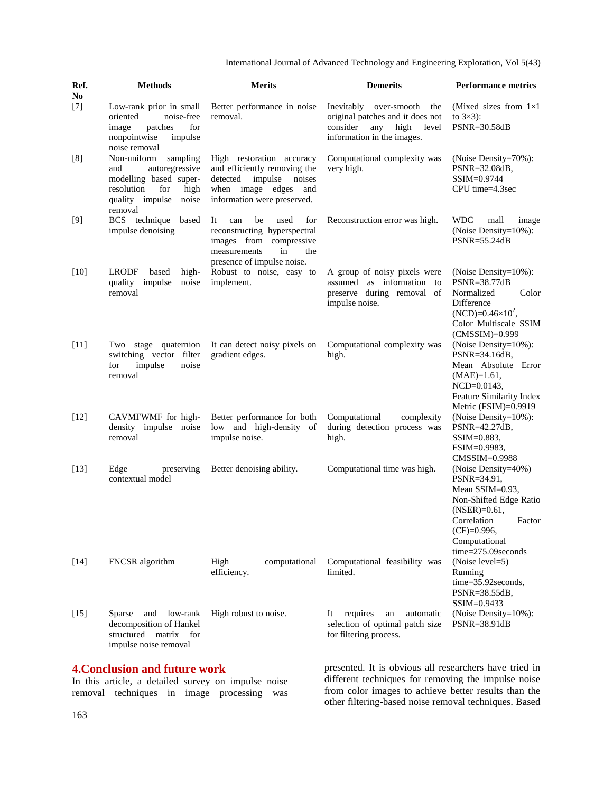International Journal of Advanced Technology and Engineering Exploration, Vol 5(43)

| Ref.<br>N <sub>o</sub> | <b>Methods</b>                                                                                                                                 | <b>Merits</b>                                                                                                                                        | <b>Demerits</b>                                                                                                                        | <b>Performance metrics</b>                                                                                                                                                          |
|------------------------|------------------------------------------------------------------------------------------------------------------------------------------------|------------------------------------------------------------------------------------------------------------------------------------------------------|----------------------------------------------------------------------------------------------------------------------------------------|-------------------------------------------------------------------------------------------------------------------------------------------------------------------------------------|
| $[7]$                  | Low-rank prior in small<br>noise-free<br>oriented<br>for<br>image<br>patches<br>nonpointwise<br>impulse<br>noise removal                       | Better performance in noise<br>removal.                                                                                                              | Inevitably<br>over-smooth<br>the<br>original patches and it does not<br>consider<br>any<br>high<br>level<br>information in the images. | (Mixed sizes from $1\times1$<br>to $3\times3$ :<br>PSNR=30.58dB                                                                                                                     |
| [8]                    | Non-uniform<br>sampling<br>autoregressive<br>and<br>modelling based super-<br>resolution<br>for<br>high<br>quality impulse<br>noise<br>removal | High restoration accuracy<br>and efficiently removing the<br>detected<br>impulse<br>noises<br>when image edges<br>and<br>information were preserved. | Computational complexity was<br>very high.                                                                                             | (Noise Density=70%):<br>PSNR=32.08dB,<br>SSIM=0.9744<br>CPU time=4.3sec                                                                                                             |
| $[9]$                  | BCS technique<br>based<br>impulse denoising                                                                                                    | be<br>used<br>for<br>It<br>can<br>reconstructing hyperspectral<br>images from compressive<br>measurements<br>in<br>the<br>presence of impulse noise. | Reconstruction error was high.                                                                                                         | <b>WDC</b><br>mall<br>image<br>(Noise Density=10%):<br>PSNR=55.24dB                                                                                                                 |
| $[10]$                 | <b>LRODF</b><br>high-<br>based<br>quality<br>impulse<br>noise<br>removal                                                                       | Robust to noise, easy to<br>implement.                                                                                                               | A group of noisy pixels were<br>assumed as information to<br>preserve during removal of<br>impulse noise.                              | (Noise Density= $10\%$ ):<br>PSNR=38.77dB<br>Normalized<br>Color<br>Difference<br>$(NCD)=0.46\times10^2$ ,<br>Color Multiscale SSIM<br>$(CMSSIM)=0.999$                             |
| $[11]$                 | Two stage quaternion<br>switching vector filter<br>for<br>impulse<br>noise<br>removal                                                          | It can detect noisy pixels on<br>gradient edges.                                                                                                     | Computational complexity was<br>high.                                                                                                  | (Noise Density=10%):<br>PSNR=34.16dB,<br>Mean Absolute Error<br>$(MAE)=1.61,$<br>$NCD = 0.0143$ ,<br>Feature Similarity Index<br>Metric (FSIM)=0.9919                               |
| $[12]$                 | CAVMFWMF for high-<br>density impulse noise<br>removal                                                                                         | Better performance for both<br>low and high-density of<br>impulse noise.                                                                             | Computational<br>complexity<br>during detection process was<br>high.                                                                   | (Noise Density=10%):<br>PSNR=42.27dB,<br>$SSIM=0.883$ ,<br>FSIM=0.9983,<br>CMSSIM=0.9988                                                                                            |
| $[13]$                 | Edge<br>preserving<br>contextual model                                                                                                         | Better denoising ability.                                                                                                                            | Computational time was high.                                                                                                           | (Noise Density=40%)<br>PSNR=34.91,<br>Mean SSIM=0.93,<br>Non-Shifted Edge Ratio<br>$(NSER)=0.61,$<br>Correlation<br>Factor<br>$(CF)=0.996,$<br>Computational<br>time=275.09 seconds |
| $[14]$                 | FNCSR algorithm                                                                                                                                | High<br>computational<br>efficiency.                                                                                                                 | Computational feasibility was<br>limited.                                                                                              | (Noise level=5)<br>Running<br>$time = 35.92 seconds,$<br>PSNR=38.55dB,<br>SSIM=0.9433                                                                                               |
| $[15]$                 | low-rank<br>Sparse<br>and<br>decomposition of Hankel<br>structured matrix<br>for<br>impulse noise removal                                      | High robust to noise.                                                                                                                                | requires<br>It<br>an<br>automatic<br>selection of optimal patch size<br>for filtering process.                                         | (Noise Density= $10\%$ ):<br>$PSNR = 38.91dB$                                                                                                                                       |

### **4.Conclusion and future work**

In this article, a detailed survey on impulse noise removal techniques in image processing was

presented. It is obvious all researchers have tried in different techniques for removing the impulse noise from color images to achieve better results than the other filtering-based noise removal techniques. Based